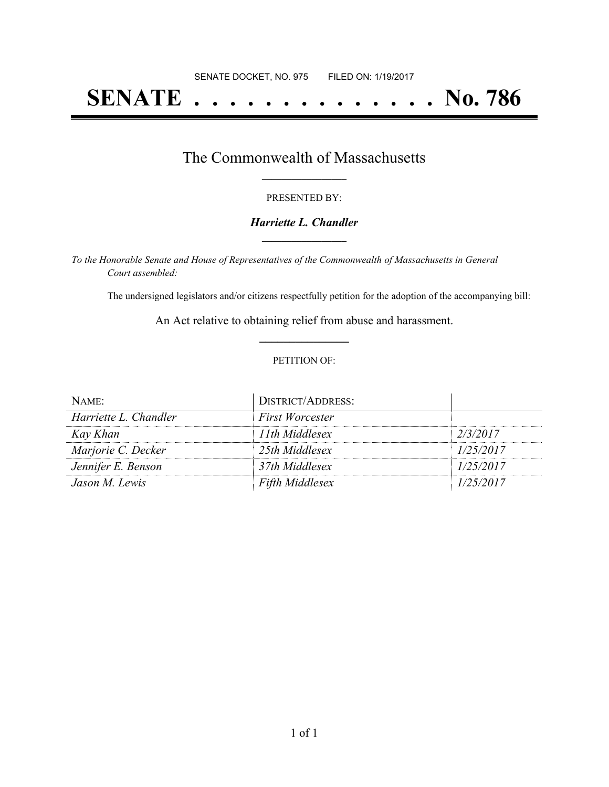# **SENATE . . . . . . . . . . . . . . No. 786**

### The Commonwealth of Massachusetts **\_\_\_\_\_\_\_\_\_\_\_\_\_\_\_\_\_**

#### PRESENTED BY:

#### *Harriette L. Chandler* **\_\_\_\_\_\_\_\_\_\_\_\_\_\_\_\_\_**

*To the Honorable Senate and House of Representatives of the Commonwealth of Massachusetts in General Court assembled:*

The undersigned legislators and/or citizens respectfully petition for the adoption of the accompanying bill:

An Act relative to obtaining relief from abuse and harassment. **\_\_\_\_\_\_\_\_\_\_\_\_\_\_\_**

#### PETITION OF:

| NAME:                 | <b>DISTRICT/ADDRESS:</b> |           |
|-----------------------|--------------------------|-----------|
| Harriette L. Chandler | <b>First Worcester</b>   |           |
| Kay Khan              | 11th Middlesex           | 2/3/2017  |
| Marjorie C. Decker    | 25th Middlesex           | 1/25/2017 |
| Jennifer E. Benson    | 37th Middlesex           | 1/25/2017 |
| Jason M. Lewis        | <b>Fifth Middlesex</b>   | 1/25/2017 |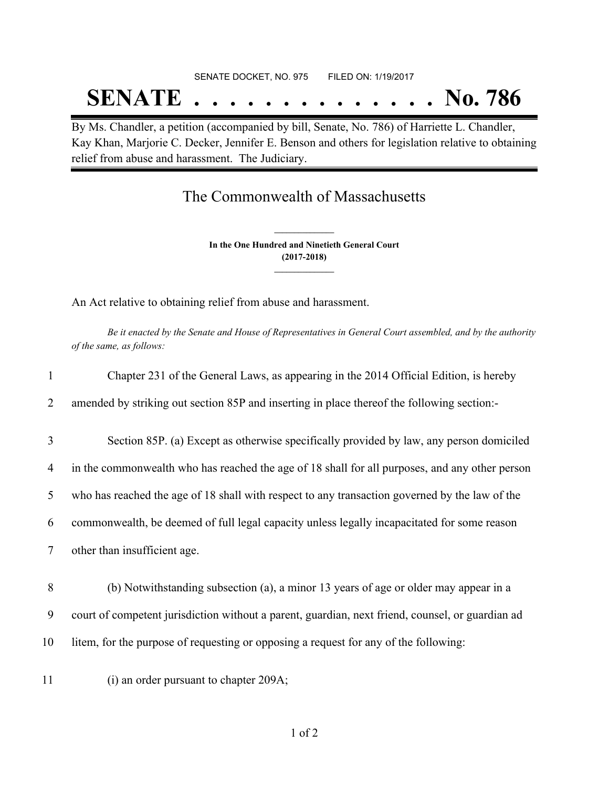# SENATE DOCKET, NO. 975 FILED ON: 1/19/2017 **SENATE . . . . . . . . . . . . . . No. 786**

By Ms. Chandler, a petition (accompanied by bill, Senate, No. 786) of Harriette L. Chandler, Kay Khan, Marjorie C. Decker, Jennifer E. Benson and others for legislation relative to obtaining relief from abuse and harassment. The Judiciary.

## The Commonwealth of Massachusetts

**In the One Hundred and Ninetieth General Court (2017-2018) \_\_\_\_\_\_\_\_\_\_\_\_\_\_\_**

**\_\_\_\_\_\_\_\_\_\_\_\_\_\_\_**

An Act relative to obtaining relief from abuse and harassment.

Be it enacted by the Senate and House of Representatives in General Court assembled, and by the authority *of the same, as follows:*

| 1  | Chapter 231 of the General Laws, as appearing in the 2014 Official Edition, is hereby            |
|----|--------------------------------------------------------------------------------------------------|
| 2  | amended by striking out section 85P and inserting in place thereof the following section:-       |
| 3  | Section 85P. (a) Except as otherwise specifically provided by law, any person domiciled          |
| 4  | in the commonwealth who has reached the age of 18 shall for all purposes, and any other person   |
| 5  | who has reached the age of 18 shall with respect to any transaction governed by the law of the   |
| 6  | commonwealth, be deemed of full legal capacity unless legally incapacitated for some reason      |
| 7  | other than insufficient age.                                                                     |
| 8  | (b) Notwithstanding subsection (a), a minor 13 years of age or older may appear in a             |
| 9  | court of competent jurisdiction without a parent, guardian, next friend, counsel, or guardian ad |
| 10 | litem, for the purpose of requesting or opposing a request for any of the following:             |
| 11 | (i) an order pursuant to chapter 209A;                                                           |